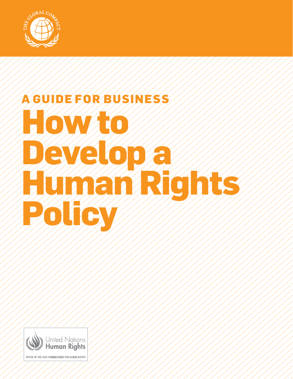

# **A Guide for Business How to**  Develop **Human Rights Policy**

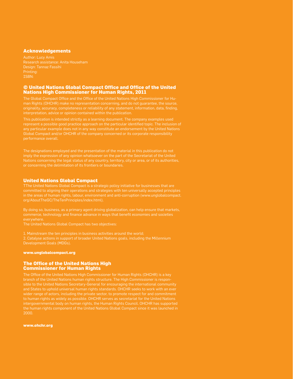#### **Acknowledgements**

Author: Lucy Amis Research assistance: Anita Househam Design: Tannaz Fassihi ISBN:

#### **© United Nations Global Compact Office and Office of the United Nations High Commissioner for Human Rights, 2011**

man Rights (OHCHR) make no representation concerning, and do not guarantee, the source,

Global Compact and/or OHCHR of the company concerned or its corporate responsibility performance overall.

The designations employed and the presentation of the material in this publication do not imply the expression of any opinion whatsoever on the part of the Secretariat of the United Nations concerning the legal status of any country, territory, city or area, or of its authorities,

#### **United Nations Global Compact**

TThe United Nations Global Compact is a strategic policy initiative for businesses that are committed to aligning their operations and strategies with ten universally accepted principles in the areas of human rights, labour, environment and anti-corruption (www.unglobalcompact.

By doing so, business, as a primary agent driving globalization, can help ensure that markets, commerce, technology and finance advance in ways that benefit economies and societies everywhere.

The United Nations Global Compact has two objectives:

1. Mainstream the ten principles in business activities around the world; 2. Catalyse actions in support of broader United Nations goals, including the Millennium Development Goals (MDGs).

#### **www.unglobalcompact.org**

#### **The Office of the United Nations High Commissioner for Human Rights**

The Office of the United Nations High Commissioner for Human Rights (OHCHR) is a key branch of the United Nations human rights structure. The High Commissioner is responsible to the United Nations Secretary-General for encouraging the international community wider range of actors, including the private sector, to promote respect for and commitment to human rights as widely as possible. OHCHR serves as secretariat for the United Nations the human rights component of the United Nations Global Compact since it was launched in 2000.

**www.ohchr.org**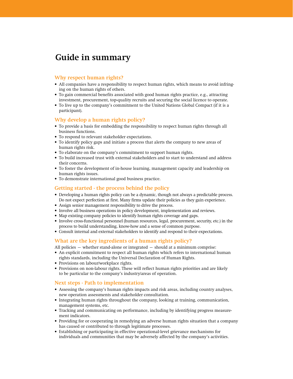# **Guide in summary**

## **Why respect human rights?**

- All companies have a responsibility to respect human rights, which means to avoid infringing on the human rights of others.
- • To gain commercial benefits associated with good human rights practice, e.g., attracting investment, procurement, top-quality recruits and securing the social licence to operate.
- • To live up to the company's commitment to the United Nations Global Compact (if it is a participant).

#### **Why develop a human rights policy?**

- • To provide a basis for embedding the responsibility to respect human rights through all business functions.
- To respond to relevant stakeholder expectations.
- • To identify policy gaps and initiate a process that alerts the company to new areas of human rights risk.
- To elaborate on the company's commitment to support human rights.
- • To build increased trust with external stakeholders and to start to understand and address their concerns.
- To foster the development of in-house learning, management capacity and leadership on human rights issues.
- • To demonstrate international good business practice.

#### **Getting started - the process behind the policy**

- • Developing a human rights policy can be a dynamic, though not always a predictable process. Do not expect perfection at first. Many firms update their policies as they gain experience.
- • Assign senior management responsibility to drive the process.
- • Involve all business operations in policy development, implementation and reviews.
- Map existing company policies to identify human rights coverage and gaps.
- • Involve cross-functional personnel (human resources, legal, procurement, security, etc.) in the process to build understanding, know-how and a sense of common purpose.
- • Consult internal and external stakeholders to identify and respond to their expectations.

#### **What are the key ingredients of a human rights policy?**

All policies – whether stand-alone or integrated – should at a minimum comprise:

- • An explicit commitment to respect all human rights which refers to international human rights standards, including the Universal Declaration of Human Rights.
- • Provisions on labour/workplace rights.
- • Provisions on non-labour rights. These will reflect human rights priorities and are likely to be particular to the company's industry/areas of operation.

# **Next steps - Path to implementation**

- • Assessing the company's human rights impacts and risk areas, including country analyses, new operation assessments and stakeholder consultation.
- • Integrating human rights throughout the company, looking at training, communication, management systems, etc.
- • Tracking and communicating on performance, including by identifying progress measurement indicators.
- • Providing for or cooperating in remedying an adverse human rights situation that a company has caused or contributed to through legitimate processes.
- • Establishing or participating in effective operational-level grievance mechanisms for individuals and communities that may be adversely affected by the company's activities.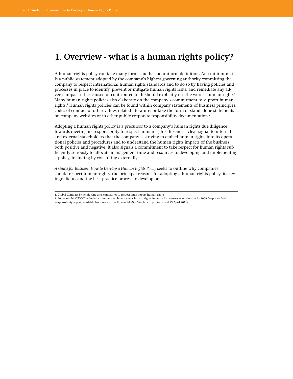# **1. Overview - what is a human rights policy?**

A human rights policy can take many forms and has no uniform definition. At a minimum, it is a public statement adopted by the company's highest governing authority committing the company to respect international human rights standards and to do so by having policies and processes in place to identify, prevent or mitigate human rights risks, and remediate any adverse impact it has caused or contributed to. It should explicitly use the words "human rights". Many human rights policies also elaborate on the company's commitment to support human rights.<sup>1</sup> Human rights policies can be found within company statements of business principles, codes of conduct or other values-related literature, or take the form of stand-alone statements on company websites or in other public corporate responsibility documentation.<sup>2</sup>

Adopting a human rights policy is a precursor to a company's human rights due diligence towards meeting its responsibility to respect human rights. It sends a clear signal to internal and external stakeholders that the company is striving to embed human rights into its operational policies and procedures and to understand the human rights impacts of the business, both positive and negative. It also signals a commitment to take respect for human rights sufficiently seriously to allocate management time and resources to developing and implementing a policy, including by consulting externally.

*A Guide for Business: How to Develop a Human Rights Policy* seeks to outline why companies should respect human rights, the principal reasons for adopting a human rights policy, its key ingredients and the best-practice process to develop one.

- 2. For example, CNOOC included a statement on how it views human rights issues in its overseas operations in its 2009 Corporate Social
- Responsibility report, available from www.cnoocltd.com/file/GetAttachment.pdf (accessed 15 April 2011).

<sup>1.</sup> Global Compact Principle One asks companies to respect and support human rights.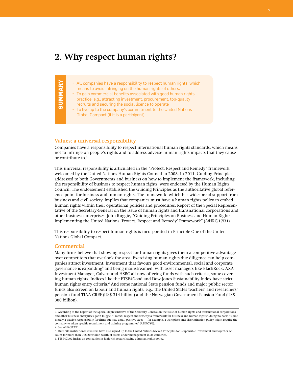# **2. Why respect human rights?**

- All companies have a responsibility to respect human rights, which means to avoid infringing on the human rights of others.
- To gain commercial benefits associated with good human rights
- practice, e.g., attracting investment, procurement, top-quality
	- recruits and securing the social licence to operate
	- To live up to the company's commitment to the United Nations Global Compact (if it is a participant).

#### **Values: a universal responsibility**

Companies have a responsibility to respect international human rights standards, which means not to infringe on people's rights and to address adverse human rights impacts that they cause or contribute to.<sup>3</sup>

This universal responsibility is articulated in the "Protect, Respect and Remedy" framework, welcomed by the United Nations Human Rights Council in 2008. In 2011, Guiding Principles addressed to both Governments and business on how to implement the framework, including the responsibility of business to respect human rights, were endorsed by the Human Rights Council. The endorsement established the Guiding Principles as the authoritative global reference point for business and human rights. The framework, which has widespread support from business and civil society, implies that companies must have a human rights policy to embed human rights within their operational policies and procedures. Report of the Special Representative of the Secretary-General on the issue of human rights and transnational corporations and other business enterprises, John Ruggie, "Guiding Principles on Business and Human Rights: Implementing the United Nations 'Protect, Respect and Remedy' Framework" (A/HRC/17/31)

This responsibility to respect human rights is incorporated in Principle One of the United Nations Global Compact.

#### **Commercial**

**SUMMA**

**RY**

Many firms believe that showing respect for human rights gives them a competitive advantage over competitors that overlook the area. Exercising human rights due diligence can help companies attract investment. Investment that favours good environmental, social and corporate governance is expanding<sup>5</sup> and being mainstreamed, with asset managers like BlackRock, AXA Investment Manager, Calvert and HSBC all now offering funds with such criteria, some covering human rights. Indices like the FTSE4Good and Dow Jones Sustainability Index have strict human rights entry criteria.<sup>6</sup> And some national State pension funds and major public sector funds also screen on labour and human rights, e.g., the United States teachers' and researchers' pension fund TIAA-CREF (US\$ 314 billion) and the Norwegian Government Pension Fund (US\$ 380 billion).

<sup>3.</sup> According to the Report of the Special Representative of the Secretary-General on the issue of human rights and transnational corporations and other business enterprises, John Ruggie, "Protect, respect and remedy: a framework for business and human rights", doing no harm "is not merely a passive responsibility for firms but may entail positive steps – for example, a workplace anti-discrimination policy might require the company to adopt specific recruitment and training programmes" (A/HRC/8/5).

<sup>4.</sup> See A/HRC/17/31.

<sup>5.</sup> Over 500 institutional investors have also signed up to the United Nations-backed Principles for Responsible Investment and together account for more than US\$ 20 trillion worth of assets under management in 36 countries.

<sup>6.</sup> FTSE4Good insists on companies in high-risk sectors having a human rights policy.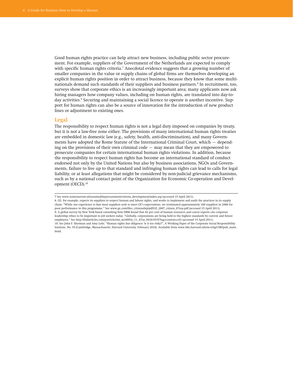Good human rights practice can help attract new business, including public sector procurement. For example, suppliers of the Government of the Netherlands are expected to comply with specific human rights criteria.<sup>7</sup> Anecdotal evidence suggests that a growing number of smaller companies in the value or supply chains of global firms are themselves developing an explicit human rights position in order to attract business, because they know that some multinationals demand such standards of their suppliers and business partners.<sup>8</sup> In recruitment, too, surveys show that corporate ethics is an increasingly important area; many applicants now ask hiring managers how company values, including on human rights, are translated into day-today activities.<sup>9</sup> Securing and maintaining a social licence to operate is another incentive. Support for human rights can also be a source of innovation for the introduction of new product lines or adjustment to existing ones.

#### **Legal**

The responsibility to respect human rights is not a legal duty imposed on companies by treaty, but it is not a law-free zone either. The provisions of many international human rights treaties are embedded in domestic law (e.g., safety, health, anti-discrimination), and many Governments have adopted the Rome Statute of the International Criminal Court, which – depending on the provisions of their own criminal code – may mean that they are empowered to prosecute companies for certain international human rights violations. In addition, because the responsibility to respect human rights has become an international standard of conduct endorsed not only by the United Nations but also by business associations, NGOs and Governments, failure to live up to that standard and infringing human rights can lead to calls for legal liability, or at least allegations that might be considered by non-judicial grievance mechanisms, such as by a national contact point of the Organization for Economic Co-operation and Development (OECD).10

8. GE, for example, expects its suppliers to respect human and labour rights, and works to implement and audit the practices in its supply chain. "While our experience is that most suppliers seek to meet GE's expectations, we terminated approximately 160 suppliers in 2006 for poor performance in this programme." See www.ge.com/files\_citizenship/pdf/GE\_2007\_citizen\_07rep.pdf (accessed 15 April 2011). 9. A global survey by New York-based consulting firm DBM found that 82 per cent of human resources and career experts cite corporate leadership ethics to be important to job seekers today. "Globally, corporations are being held to the highest standards by current and future employees." See http://findarticles.com/p/articles/mi\_m3495/is\_11\_47/ai\_94161915/?tag=content;col1 (accessed 15 April 2011). 10. See John F. Sherman and Amy Lehr, "Human rights due diligence: Is it too risky?", A Working Paper of the Corporate Social Responsibility Institute, No. 55 (Cambridge, Massachusetts, Harvard University, February 2010). Available from www.hks.harvard.edu/m-rcbg/CSRI/pub\_main. html.

<sup>7</sup> See www.senternovem.nl/sustainableprocurement/criteria\_development/index.asp (accessed 15 April 2011).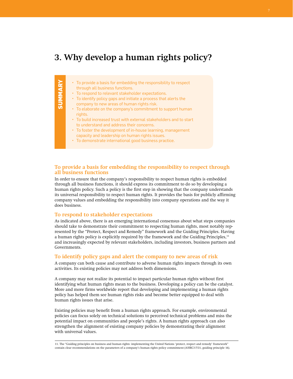# **3. Why develop a human rights policy?**

|               | • To provide a basis for embedding the responsibility to respect<br>through all business functions. |
|---------------|-----------------------------------------------------------------------------------------------------|
|               | • To respond to relevant stakeholder expectations.                                                  |
| <b>SUMMLA</b> | • To identify policy gaps and initiate a process that alerts the                                    |
|               | company to new areas of human rights risk.                                                          |
|               | • To elaborate on the company's commitment to support human                                         |
|               | rights.                                                                                             |
|               | • To build increased trust with external stakeholders and to start                                  |
|               | to understand and address their concerns.                                                           |
|               | • To foster the development of in-house learning, management                                        |
|               | capacity and leadership on human rights issues.                                                     |
|               | • To demonstrate international good business practice.                                              |

#### **To provide a basis for embedding the responsibility to respect through all business functions**

In order to ensure that the company's responsibility to respect human rights is embedded through all business functions, it should express its commitment to do so by developing a human rights policy. Such a policy is the first step in showing that the company understands its universal responsibility to respect human rights. It provides the basis for publicly affirming company values and embedding the responsibility into company operations and the way it does business.

#### **To respond to stakeholder expectations**

As indicated above, there is an emerging international consensus about what steps companies should take to demonstrate their commitment to respecting human rights, most notably represented by the "Protect, Respect and Remedy" framework and the Guiding Principles. Having a human rights policy is explicitly required by the framework and the Guiding Principles,<sup>11</sup> and increasingly expected by relevant stakeholders, including investors, business partners and Governments.

#### **To identify policy gaps and alert the company to new areas of risk**

A company can both cause and contribute to adverse human rights impacts through its own activities. Its existing policies may not address both dimensions.

A company may not realize its potential to impact particular human rights without first identifying what human rights mean to the business. Developing a policy can be the catalyst. More and more firms worldwide report that developing and implementing a human rights policy has helped them see human rights risks and become better equipped to deal with human rights issues that arise.

Existing policies may benefit from a human rights approach. For example, environmental policies can focus solely on technical solutions to perceived technical problems and miss the potential impact on communities and people's rights. A human rights approach can also strengthen the alignment of existing company policies by demonstrating their alignment with universal values.

11. The "Guiding principles on business and human rights: implementing the United Nations 'protect, respect and remedy' framework" contain clear recommendations on the parameters of a company's human rights policy commitment (A/HRC/17/31, guiding principle 16).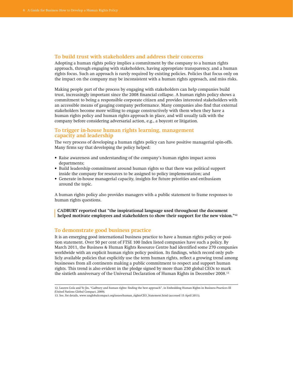#### **To build trust with stakeholders and address their concerns**

Adopting a human rights policy implies a commitment by the company to a human rights approach, through engaging with stakeholders, having appropriate transparency, and a human rights focus. Such an approach is rarely required by existing policies. Policies that focus only on the impact on the company may be inconsistent with a human rights approach, and miss risks.

Making people part of the process by engaging with stakeholders can help companies build trust, increasingly important since the 2008 financial collapse. A human rights policy shows a commitment to being a responsible corporate citizen and provides interested stakeholders with an accessible means of gauging company performance. Many companies also find that external stakeholders become more willing to engage constructively with them when they have a human rights policy and human rights approach in place, and will usually talk with the company before considering adversarial action, e.g., a boycott or litigation.

## **To trigger in-house human rights learning, management capacity and leadership**

The very process of developing a human rights policy can have positive managerial spin-offs. Many firms say that developing the policy helped:

- • Raise awareness and understanding of the company's human rights impact across departments;
- • Build leadership commitment around human rights so that there was political support inside the company for resources to be assigned to policy implementation; and
- • Generate in-house managerial capacity, insights for future priorities and enthusiasm around the topic.

A human rights policy also provides managers with a public statement to frame responses to human rights questions.

 **Cadbury reported that "the inspirational language used throughout the document helped motivate employees and stakeholders to show their support for the new vision."12** 

## **To demonstrate good business practice**

It is an emerging good international business practice to have a human rights policy or position statement. Over 50 per cent of FTSE 100 Index listed companies have such a policy. By March 2011, the Business & Human Rights Resource Centre had identified some 270 companies worldwide with an explicit human rights policy position. Its findings, which record only publicly available policies that explicitly use the term human rights, reflect a growing trend among businesses from all continents making a public commitment to respect and support human rights. This trend is also evident in the pledge signed by more than 250 global CEOs to mark the sixtieth anniversary of the Universal Declaration of Human Rights in December 2008.<sup>13</sup>

<sup>12.</sup> Lauren Gula and Ye Jin, "Cadbury and human rights: finding the best approach", in Embedding Human Rights in Business Practices III (United Nations Global Compact, 2009).

<sup>13.</sup> See, for details, www.unglobalcompact.org/issues/human\_rights/CEO\_Statement.html (accessed 15 April 2011).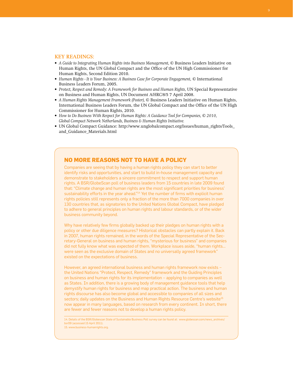#### **KEY READINGS:**

- *• A Guide to Integrating Human Rights into Business Management,* © Business Leaders Initiative on Human Rights, the UN Global Compact and the Office of the UN High Commissioner for Human Rights, Second Edition 2010.
- *• Human Rights It is Your Business: A Business Case for Corporate Engagement,* © International Business Leaders Forum, 2005.
- *• Protect, Respect and Remedy: A Framework for Business and Human Rights,* UN Special Representative on Business and Human Rights, UN Document A/HRC/8/5 7 April 2008.
- *• A Human Rights Management Framework (Poster),* © Business Leaders Initiative on Human Rights, International Business Leaders Forum, the UN Global Compact and the Office of the UN High Commissioner for Human Rights, 2010.
- *• How to Do Business With Respect for Human Rights: A Guidance Tool for Companies, © 2010, Global Compact Network Netherlands, Business & Human Rights Initiative.*
- UN Global Compact Guidance: http://www.unglobalcompact.org/Issues/human\_rights/Tools and\_Guidance\_Materials.html

# **No more reasons not to have a policy**

Companies are seeing that by having a human rights policy they can start to better identify risks and opportunities, and start to build in-house management capacity and demonstrate to stakeholders a sincere commitment to respect and support human rights. A BSR/GlobeScan poll of business leaders from 15 countries in late 2009 found that: "Climate change and human rights are the most significant priorities for business' sustainability efforts in the year ahead."<sup>14</sup> Yet the number of firms with explicit human rights policies still represents only a fraction of the more than 7000 companies in over 130 countries that, as signatories to the United Nations Global Compact, have pledged to adhere to general principles on human rights and labour standards, or of the wider business community beyond.

Why have relatively few firms globally backed up their pledges on human rights with a policy or other due diligence measures? Historical obstacles can partly explain it. Back in 2007, human rights remained, in the words of the Special Representative of the Secretary-General on business and human rights, "mysterious for business" and companies did not fully know what was expected of them. Workplace issues aside, "human rights… were seen as the exclusive domain of States and no universally agreed framework" existed on the expectations of business.

However, an agreed international business and human rights framework now exists – the United Nations "Protect, Respect, Remedy" framework and the Guiding Principles on business and human rights for its implementation – applying to companies as well as States. In addition, there is a growing body of management guidance tools that help demystify human rights for business and map practical action. The business and human rights discourse has also become global and accessible to companies of all sizes and sectors; daily updates on the Business and Human Rights Resource Centre's website<sup>15</sup> now appear in many languages, based on research from every continent. In short, there are fewer and fewer reasons not to develop a human rights policy.

14. Details of the BSR/Globescan State of Sustainable Business Poll survey can be found at: www.globescan.com/news\_archives/ bsr09 (accessed 15 April 2011). 15. www.business-humanrights.org.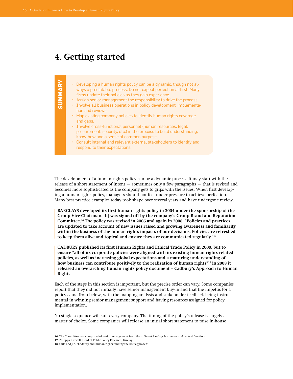# **4. Getting started**

respond to their expectations.

|               | • Developing a human rights policy can be a dynamic, though not al-            |
|---------------|--------------------------------------------------------------------------------|
|               | ways a predictable process. Do not expect perfection at first. Many            |
| $\frac{5}{2}$ | firms update their policies as they gain experience.                           |
|               | • Assign senior management the responsibility to drive the process.            |
| ທ່            | • Involve all business operations in policy development, implementa-           |
|               | tion and reviews.                                                              |
|               | • Map existing company policies to identify human rights coverage<br>and gaps. |
|               | • Involve cross-functional personnel (human resources, legal,                  |
|               | procurement, security, etc.) in the process to build understanding,            |
|               | know-how and a sense of common purpose.                                        |
|               | • Consult internal and relevant external stakeholders to identify and          |

The development of a human rights policy can be a dynamic process. It may start with the release of a short statement of intent – sometimes only a few paragraphs – that is revised and becomes more sophisticated as the company gets to grips with the issues. When first developing a human rights policy, managers should not feel under pressure to achieve perfection. Many best practice examples today took shape over several years and have undergone review.

 **Barclays developed its first human rights policy in 2004 under the sponsorship of the Group Vice-Chairman. [It] was signed off by the company's Group Brand and Reputation Committee.**<sup>16</sup> **The policy was revised in 2006 and again in 2008. "Policies and practices are updated to take account of new issues raised and growing awareness and familiarity within the business of the human rights impacts of our decisions. Policies are refreshed to keep them alive and topical and ensure they are communicated regularly."**<sup>17</sup>

 **Cadbury published its first Human Rights and Ethical Trade Policy in 2000, but to ensure "all of its corporate policies were aligned with its existing human rights related policies, as well as increasing global expectations and a maturing understanding of how business can contribute positively to the realization of human rights"**<sup>18</sup> **in 2008 it released an overarching human rights policy document – Cadbury's Approach to Human Rights.**

Each of the steps in this section is important, but the precise order can vary. Some companies report that they did not initially have senior management buy-in and that the impetus for a policy came from below, with the mapping analysis and stakeholder feedback being instrumental in winning senior management support and having resources assigned for policy implementation.

No single sequence will suit every company. The timing of the policy's release is largely a matter of choice. Some companies will release an initial short statement to raise in-house

<sup>16.</sup> The Committee was comprised of senior management from the different Barclays businesses and central functions.

<sup>17.</sup> Philippa Birtwell, Head of Public Policy Research, Barclays.

<sup>18.</sup> Gula and Jin, "Cadbury and human rights: finding the best approach".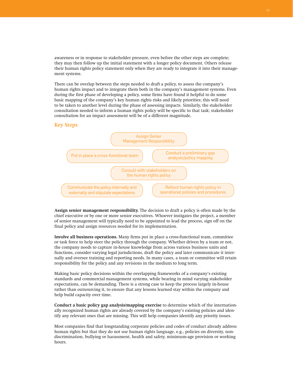awareness or in response to stakeholder pressure, even before the other steps are complete; they may then follow up the initial statement with a longer policy document. Others release their human rights policy statement only when they are ready to integrate it into their management systems.

There can be overlap between the steps needed to draft a policy, to assess the company's human rights impact and to integrate them both in the company's management systems. Even during the first phase of developing a policy, some firms have found it helpful to do some basic mapping of the company's key human rights risks and likely priorities; this will need to be taken to another level during the phase of assessing impacts. Similarly, the stakeholder consultation needed to inform a human rights policy will be specific to that task; stakeholder consultation for an impact assessment will be of a different magnitude.

#### **Key Steps**



**Assign senior management responsibility.** The decision to draft a policy is often made by the chief executive or by one or more senior executives. Whoever instigates the project, a member of senior management will typically need to be appointed to lead the process, sign off on the final policy and assign resources needed for its implementation.

**Involve all business operations.** Many firms put in place a cross-functional team, committee or task force to help steer the policy through the company. Whether driven by a team or not, the company needs to capture in-house knowledge from across various business units and functions, consider varying legal jurisdictions, draft the policy and later communicate it internally and oversee training and reporting needs. In many cases, a team or committee will retain responsibility for the policy and any revisions in the medium to long term.

Making basic policy decisions within the overlapping frameworks of a company's existing standards and commercial management systems, while bearing in mind varying stakeholder expectations, can be demanding. There is a strong case to keep the process largely in-house rather than outsourcing it, to ensure that any lessons learned stay within the company and help build capacity over time.

**Conduct a basic policy gap analysis/mapping exercise** to determine which of the internationally recognized human rights are already covered by the company's existing policies and identify any relevant ones that are missing. This will help companies identify any priority issues.

Most companies find that longstanding corporate policies and codes of conduct already address human rights but that they do not use human rights language, e.g., policies on diversity, nondiscrimination, bullying or harassment, health and safety, minimum-age provision or working hours.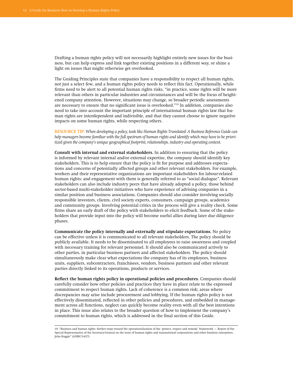Drafting a human rights policy will not necessarily highlight entirely new issues for the business, but can help express and link together existing positions in a different way, or shine a light on issues that might otherwise get overlooked.

The Guiding Principles state that companies have a responsibility to respect all human rights, not just a select few, and a human rights policy needs to reflect this fact. Operationally, while firms need to be alert to all potential human rights risks, "in practice, some rights will be more relevant than others in particular industries and circumstances and will be the focus of heightened company attention. However, situations may change, so broader periodic assessments are necessary to ensure that no significant issue is overlooked."19 In addition, companies also need to take into account the important principle of international human rights law that human rights are interdependent and indivisible, and that they cannot choose to ignore negative impacts on some human rights, while respecting others.

**Resource tip:** *When developing a policy, tools like Human Rights Translated: A Business Reference Guide can help managers become familiar with the full spectrum of human rights and identify which may have to be prioritized given the company's unique geographical footprint, relationships, industry and operating context.*

**Consult with internal and external stakeholders.** In addition to ensuring that the policy is informed by relevant internal and/or external expertise, the company should identify key stakeholders. This is to help ensure that the policy is fit for purpose and addresses expectations and concerns of potentially affected groups and other relevant stakeholders. For example, workers and their representative organizations are important stakeholders for labour-related human rights; and engagement with them is generally referred to as "social dialogue". Relevant stakeholders can also include industry peers that have already adopted a policy, those behind sector-based multi-stakeholder initiatives who have experience of advising companies in a similar position and business associations. Companies should also consider involving socially responsible investors, clients, civil society experts, consumers, campaign groups, academics and community groups. Involving potential critics in the process will give a reality check. Some firms share an early draft of the policy with stakeholders to elicit feedback. Some of the stakeholders that provide input into the policy will become useful allies during later due diligence phases.

**Communicate the policy internally and externally and stipulate expectations.** No policy can be effective unless it is communicated to all relevant stakeholders. The policy should be publicly available. It needs to be disseminated to all employees to raise awareness and coupled with necessary training for relevant personnel. It should also be communicated actively to other parties, in particular business partners and affected stakeholders. The policy should simultaneously make clear what expectations the company has of its employees, business units, suppliers, subcontractors, franchisees, vendors, business partners and other relevant parties directly linked to its operations, products or services.

**Reflect the human rights policy in operational policies and procedures.** Companies should carefully consider how other policies and practices they have in place relate to the expressed commitment to respect human rights. Lack of coherence is a common risk; areas where discrepancies may arise include procurement and lobbying. If the human rights policy is not effectively disseminated, reflected in other policies and procedures, and embedded in management across all functions, neglect can quickly become reality even with all the best intentions in place. This issue also relates to the broader question of how to implement the company's commitment to human rights, which is addressed in the final section of this Guide.

<sup>19.</sup> "Business and human rights: further steps toward the operationalization of the 'protect, respect and remedy' framework – Report of the Special Representative of the Secretary-General on the issue of human rights and transnational corporations and other business enterprises, John Ruggie" (A/HRC/14/27).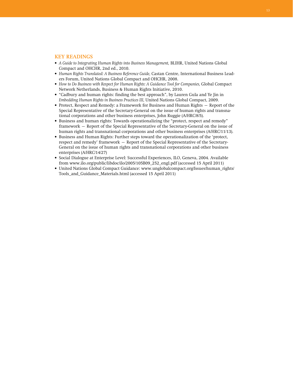#### **KEY READINGS**

- *• A Guide to Integrating Human Rights into Business Management,* BLIHR, United Nations Global Compact and OHCHR, 2nd ed., 2010.
- *• Human Rights Translated: A Business Reference Guide,* Castan Centre, International Business Leaders Forum, United Nations Global Compact and OHCHR, 2008.
- *• How to Do Business with Respect for Human Rights: A Guidance Tool for Companies,* Global Compact Network Netherlands, Business & Human Rights Initiative, 2010.
- • "Cadbury and human rights: finding the best approach", by Lauren Gula and Ye Jin in *Embedding Human Rights in Business Practices III,* United Nations Global Compact, 2009.
- • Protect, Respect and Remedy: a Framework for Business and Human Rights Report of the Special Representative of the Secretary-General on the issue of human rights and transnational corporations and other business enterprises, John Ruggie (A/HRC/8/5).
- • Business and human rights: Towards operationalizing the "protect, respect and remedy" framework – Report of the Special Representative of the Secretary-General on the issue of human rights and transnational corporations and other business enterprises (A/HRC/11/13).
- • Business and Human Rights: Further steps toward the operationalization of the 'protect, respect and remedy' framework – Report of the Special Representative of the Secretary-General on the issue of human rights and transnational corporations and other business enterprises (A/HRC/14/27)
- Social Dialogue at Enterprise Level: Successful Experiences, ILO, Geneva, 2004. Available from www.ilo.org/public/libdoc/ilo/2005/105B09\_252\_engl.pdf (accessed 15 April 2011)
- United Nations Global Compact Guidance: www.unglobalcompact.org/Issues/human\_rights/ Tools\_and\_Guidance\_Materials.html (accessed 15 April 2011)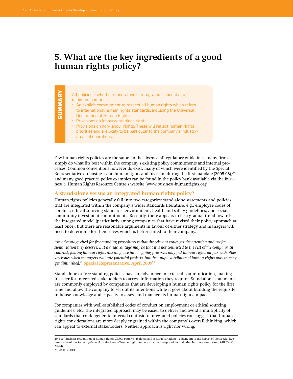# **5. What are the key ingredients of a good human rights policy?**

| ⋗             | All policies – whether stand-alone or integrated – should at a        |
|---------------|-----------------------------------------------------------------------|
| <b>SUMMAR</b> | minimum comprise:                                                     |
|               | • An explicit commitment to respect all human rights which refers     |
|               | to international human rights standards, including the Universal      |
|               | Declaration of Human Rights.                                          |
|               | • Provisions on labour/workplace rights.                              |
|               | • Provisions on non-labour rights. These will reflect human rights    |
|               | priorities and are likely to be particular to the company's industry/ |
|               | areas of operations.                                                  |
|               |                                                                       |

Few human rights policies are the same. In the absence of regulatory guidelines, many firms simply do what fits best within the company's existing policy commitments and internal processes. Common conventions however do exist, many of which were identified by the Special Representative on business and human rights and his team during the first mandate (2005-08), $^{20}$ and many good practice policy examples can be found in the policy bank available via the Business & Human Rights Resource Centre's website (www.business-humanrights.org).

#### **A stand-alone versus an integrated human rights policy?**

Human rights policies generally fall into two categories: stand-alone statements and policies that are integrated within the company's wider standards literature, e.g., employee codes of conduct; ethical sourcing standards; environment, health and safety guidelines; and social/ community investment commitments. Recently, there appears to be a gradual trend towards the integrated model (particularly among companies that have revised their policy approach at least once), but there are reasonable arguments in favour of either strategy and managers will need to determine for themselves which is better suited to their company.

*"An advantage cited for free-standing procedures is that the relevant issues get the attention and professionalization they deserve. But a disadvantage may be that it is not connected to the rest of the company. In contrast, folding human rights due diligence into ongoing processes may put human rights on par with other key issues when managers evaluate potential projects, but the unique attributes of human rights may thereby get diminished."* **Special Representative, April 2009**<sup>21</sup>

Stand-alone or free-standing policies have an advantage in external communication, making it easier for interested stakeholders to access information they require. Stand-alone statements are commonly employed by companies that are developing a human rights policy for the first time and allow the company to set out its intentions while it goes about building the requisite in-house knowledge and capacity to assess and manage its human rights impacts.

For companies with well-established codes of conduct on employment or ethical sourcing guidelines, etc., the integrated approach may be easier to deliver and avoid a multiplicity of standards that could generate internal confusion. Integrated policies can suggest that human rights considerations are more deeply engrained within the company's overall thinking, which can appeal to external stakeholders. Neither approach is right nor wrong.

<sup>20.</sup> See "Business recognition of human rights: Global patterns, regional and sectoral variations", addendum to the Report of the Special Representative of the Secretary-General on the issue of human rights and transnational corporations and other business enterprises (A/HRC/4/35/ Add.4). 21. A/HRC/11/13.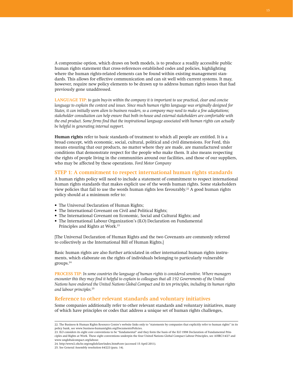A compromise option, which draws on both models, is to produce a readily accessible public human rights statement that cross-references established codes and policies, highlighting where the human rights-related elements can be found within existing management standards. This allows for effective communication and can sit well with current systems. It may, however, require new policy elements to be drawn up to address human rights issues that had previously gone unaddressed.

**Language tip:** *to gain buy-in within the company it is important to use practical, clear and concise language to explain the context and issues. Since much human rights language was originally designed for States, it can initially seem alien to business readers, so a company may need to make a few adaptations; stakeholder consultation can help ensure that both in-house and external stakeholders are comfortable with the end product. Some firms find that the inspirational language associated with human rights can actually be helpful in generating internal support.* 

**Human rights** refer to basic standards of treatment to which all people are entitled. It is a broad concept, with economic, social, cultural, political and civil dimensions. For Ford, this means ensuring that our products, no matter where they are made, are manufactured under conditions that demonstrate respect for the people who make them. It also means respecting the rights of people living in the communities around our facilities, and those of our suppliers, who may be affected by these operations. *Ford Motor Company*

# **STEP 1: A commitment to respect international human rights standards**

A human rights policy will need to include a statement of commitment to respect international human rights standards that makes explicit use of the words human rights. Some stakeholders view policies that fail to use the words human rights less favourably.<sup>22</sup> A good human rights policy should at a minimum refer to:

- The Universal Declaration of Human Rights;
- The International Covenant on Civil and Political Rights;
- • The International Covenant on Economic, Social and Cultural Rights; and
- The International Labour Organization's (ILO) Declaration on Fundamental Principles and Rights at Work.<sup>23</sup>

[The Universal Declaration of Human Rights and the two Covenants are commonly referred to collectively as the International Bill of Human Rights.]

Basic human rights are also further articulated in other international human rights instruments, which elaborate on the rights of individuals belonging to particularly vulnerable groups.24

**Process tip:** *In some countries the language of human rights is considered sensitive. Where managers*  encounter this they may find it helpful to explain to colleagues that all 192 Governments of the United *Nations have endorsed the United Nations Global Compact and its ten principles, including its human rights and labour principles.*<sup>25</sup>

# **Reference to other relevant standards and voluntary initiatives**

Some companies additionally refer to other relevant standards and voluntary initiatives, many of which have principles or codes that address a unique set of human rights challenges,

24. http://www2.ohchr.org/english/law/index.htm#core (accessed 15 April 2011).

<sup>22.</sup> The Business & Human Rights Resource Centre's website links only to "statements by companies that explicitly refer to human rights" in its policy bank, see www.business-humanrights.org/Documents/Policies.

<sup>23.</sup> ILO considers its eight core conventions to be "fundamental" and they form the basis of the ILO 1998 Declaration of Fundamental Principles and Rights at Work. These eight conventions underpin the four United Nations Global Compact Labour Principles, see A/HRC/14/27 and www.unglobalcompact.org/labour.

<sup>25.</sup> See General Assembly resolution 64/223 (para. 14).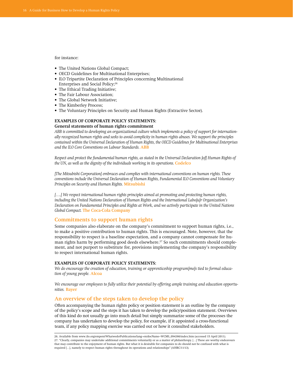for instance:

- The United Nations Global Compact;
- • OECD Guidelines for Multinational Enterprises;
- ILO Tripartite Declaration of Principles concerning Multinational Enterprises and Social Policy;26
- The Ethical Trading Initiative;
- The Fair Labour Association;
- The Global Network Initiative;
- The Kimberley Process;
- The Voluntary Principles on Security and Human Rights (Extractive Sector).

### **Examples of corporate policy statements:**

#### **General statements of human rights commitment**

*ABB is committed to developing an organizational culture which implements a policy of support for internationally recognized human rights and seeks to avoid complicity in human rights abuses. We support the principles contained within the Universal Declaration of Human Rights, the OECD Guidelines for Multinational Enterprises and the ILO Core Conventions on Labour Standards.* **ABB**

Respect and protect the fundamental human rights, as stated in the Universal Declaration [of] Human Rights of *the UN, as well as the dignity of the individuals working in its operations.* **Codelco**

*[The Mitsubishi Corporation] embraces and complies with international conventions on human rights. These conventions include the Universal Declaration of Human Rights, Fundamental ILO Conventions and Voluntary Principles on Security and Human Rights.* **Mitsubishi**

*[….] We respect international human rights principles aimed at promoting and protecting human rights, including the United Nations Declaration of Human Rights and the International Labo[u]r Organization's Declaration on Fundamental Principles and Rights at Work, and we actively participate in the United Nations Global Compact.* **The Coca-Cola Company**

#### **Commitments to support human rights**

Some companies also elaborate on the company's commitment to support human rights, i.e., to make a positive contribution to human rights. This is encouraged. Note, however, that the responsibility to respect is a baseline expectation, and a company cannot compensate for human rights harm by performing good deeds elsewhere.<sup>27</sup> So such commitments should complement, and not purport to substitute for, provisions implementing the company's responsibility to respect international human rights.

#### **Examples of corporate policy statements:**

*We do encourage the creation of education, training or apprenticeship program[me]s tied to formal education of young people.* **Alcoa**

*We encourage our employees to fully utilize their potential by offering ample training and education opportunities.* **Bayer**

### **An overview of the steps taken to develop the policy**

Often accompanying the human rights policy or position statement is an outline by the company of the policy's scope and the steps it has taken to develop the policy/position statement. Overviews of this kind do not usually go into much detail but simply summarize some of the processes the company has undertaken to develop the policy, for example, if it appointed a cross-functional team, if any policy mapping exercise was carried out or how it consulted stakeholders.

<sup>26.</sup> Available from www.ilo.org/empent/Whatwedo/Publications/lang--en/docName--WCMS\_094386/index.htm (accessed 15 April 2011). 27. "Clearly, companies may undertake additional commitments voluntarily or as a matter of philanthropy. […] These are worthy endeavours that may contribute to the enjoyment of human rights. But what it is desirable for companies to do should not be confused with what is required […], namely to respect human rights throughout its operations and relationships" (A/HRC/11/13).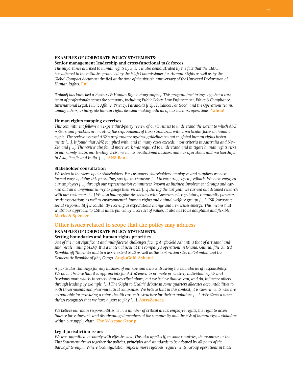## **Examples of corporate policy statements:**

#### **Senior management leadership and cross-functional task forces**

*The importance ascribed to human rights by Eni… is also demonstrated by the fact that the CEO… has adhered to the initiative promoted by the High Commissioner for Human Rights as well as by the Global Compact document drafted at the time of the sixtieth anniversary of the Universal Declaration of Human Rights.* **Eni**

*[Yahoo!] has launched a Business & Human Rights Program[me]. This program[me] brings together a core team of professionals across the company, including Public Policy, Law Enforcement, Ethics & Compliance, International Legal, Public Affairs, Privacy, Paranoids [sic], IT, Yahoo! For Good, and the Operations teams, among others, to integrate human rights decision-making into all of our business operations. Yahoo!* 

#### **Human rights mapping exercises**

*This commitment follows an expert third-party review of our business to understand the extent to which ANZ policies and practices are meeting the requirements of these standards, with a particular focus on human rights. The review assessed ANZ's performance against guidelines set out in global human rights instru*ments [...]. It found that ANZ complied with, and in many cases exceeds, most criteria in Australia and New *Zealand […]. The review also found more work was required to understand and mitigate human rights risks in our supply chain, our lending decisions in our institutional business and our operations and partnerships in Asia, Pacific and India. […].* **ANZ Bank**

#### **Stakeholder consultation**

*We listen to the views of our stakeholders. For customers, shareholders, employees and suppliers we have formal ways of doing this [including] specific mechanisms […] to encourage open feedback. We have engaged our employees […] through our representation committees, known as Business Involvement Groups and car*ried out an anonymous survey to gauge their views. [...] During the last year, we carried out detailed research *with our customers. […] We also had regular discussions with Government, regulators, community partners, trade associations as well as environmental, human rights and animal welfare groups […]. CSR [corporate social responsibility] is constantly evolving as expectations change and new issues emerge. This means that* whilst our approach to CSR is underpinned by a core set of values, it also has to be adaptable and flexible. **Marks & Spencer**

#### **Other issues related to scope that the policy may address**

#### **Examples of corporate policy statements: Setting boundaries and human rights priorities**

*One of the most significant and multifaceted challenges facing AngloGold Ashanti is that of artisanal and* small-scale mining (ASM). It is a material issue at the company's operations in Ghana, Guinea, [the United Republic of] Tanzania and to a lesser extent Mali as well as the exploration sites in Colombia and the *Democratic Republic of [the] Congo.* **AngloGold Ashanti**

*A particular challenge for any business of our size and scale is drawing the boundaries of responsibility. We do not believe that it is appropriate for AstraZeneca to promote proactively individual rights and*  freedoms more widely in society than described above, but we believe that we can, and do, influence others *through leading by example. […] The 'Right to Health' debate in some quarters allocates accountabilities to both Governments and pharmaceutical companies. We believe that in this context, it is Governments who are accountable for providing a robust health-care infrastructure for their populations […]. AstraZeneca nevertheless recognizes that we have a part to play […].* **AstraZeneca**

*We believe our main responsibilities lie in a number of critical areas: employee rights, the right to access finance for vulnerable and disadvantaged members of the community and the risk of human rights violations within our supply chain.* **The Westpac Group**

#### **Legal jurisdiction issues**

*We are committed to comply with effective law. This also applies if, in some countries, the resources or the This Statement draws together the policies, principles and standards to be adopted by all parts of the Barclays' Group.... Where local legislation imposes more rigorous requirements, Group operations in those*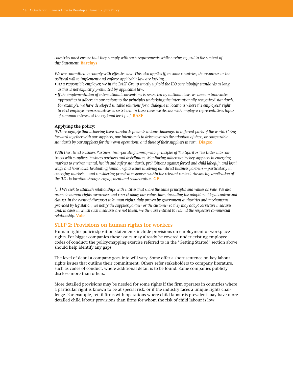*countries must ensure that they comply with such requirements while having regard to the content of this Statement.* **Barclays**

*We are committed to comply with effective law. This also applies if, in some countries, the resources or the political will to implement and enforce applicable law are lacking...*

- $\overline{\bullet}$  As a responsible employer, we in the BASF Group strictly uphold the ILO core labo[u]r standards as long *as this is not explicitly prohibited by applicable law.*
- *If the implementation of international conventions is restricted by national law, we develop innovative approaches to adhere in our actions to the principles underlying the internationally recognized standards. For example, we have developed suitable solutions for a dialogue in locations where the employees' right to elect employee representatives is restricted. In these cases we discuss with employee representatives topics of common interest at the regional level […].* **BASF**

#### **Applying the policy:**

[W]e recogni[z]e that achieving these standards presents unique challenges in different parts of the world. Going *forward together with our suppliers, our intention is to drive towards the adoption of these, or comparable standards by our suppliers for their own operations, and those of their suppliers in turn.* **Diageo** 

With Our Direct Business Partners: Incorporating appropriate principles of The Spirit & The Letter into con*tracts with suppliers, business partners and distributors. Monitoring adherence by key suppliers in emerging markets to environmental, health and safety standards, prohibitions against forced and child labo[u]r, and local wage and hour laws. Evaluating human rights issues involving our direct business partners—particularly in emerging markets—and considering practical responses within the relevant context. Advancing application of the ILO Declaration through engagement and collaboration.* **GE**

[...] We seek to establish relationships with entities that share the same principles and values as Vale. We also *promote human rights awareness and respect along our value chain, including the adoption of legal contractual clauses. In the event of disrespect to human rights, duly proven by government authorities and mechanisms provided by legislation, we notify the supplier/partner or the customer so they may adopt corrective measures and, in cases in which such measures are not taken, we then are entitled to rescind the respective commercial relationship.* **Vale**

#### **Step 2: Provisions on human rights for workers**

Human rights policies/position statements include provisions on employment or workplace rights. For bigger companies these issues may already be covered under existing employee codes of conduct; the policy-mapping exercise referred to in the "Getting Started" section above should help identify any gaps.

The level of detail a company goes into will vary. Some offer a short sentence on key labour rights issues that outline their commitment. Others refer stakeholders to company literature, such as codes of conduct, where additional detail is to be found. Some companies publicly disclose more than others.

More detailed provisions may be needed for some rights if the firm operates in countries where a particular right is known to be at special risk, or if the industry faces a unique rights challenge. For example, retail firms with operations where child labour is prevalent may have more detailed child labour provisions than firms for whom the risk of child labour is low.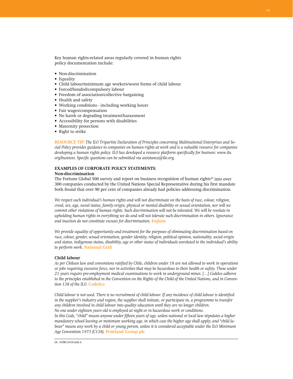Key human rights-related areas regularly covered in human rights policy documentation include:

- • Non-discrimination
- Equality
- • Child labour/minimum age workers/worst forms of child labour
- Forced/bonded/compulsory labour
- Freedom of association/collective bargaining
- • Health and safety
- • Working conditions including working hours
- • Fair wages/compensation
- • No harsh or degrading treatment/harassment
- • Accessibility for persons with disabilities
- Maternity protection
- Right to strike

**Resource tip:** *The ILO Tripartite Declaration of Principles concerning Multinational Enterprises and Social Policy provides guidance to companies on human rights at work and is a valuable resource for companies developing a human rights policy. ILO has developed a resource platform specifically for business: www.ilo. org/business. Specific questions can be submitted via assistance@ilo.org.*

## **Examples of corporate policy statements:**

#### **Non-discrimination**

The Fortune Global 500 survey and report on business recognition of human rights<sup>28</sup> into over 300 companies conducted by the United Nations Special Representative during his first mandate both found that over 90 per cent of companies already had policies addressing discrimination.

*We respect each individual's human rights and will not discriminate on the basis of race, colour, religion, creed, sex, age, social status, family origin, physical or mental disability or sexual orientation, nor will we commit other violations of human rights. Such discrimination will not be tolerated. We will be resolute in upholding human rights in everything we do and will not tolerate such discrimination in others. Ignorance and inaction do not constitute excuses for discrimination.* **Fujitsu**

*We provide equality of opportunity and treatment for the purposes of eliminating discrimination based on race, colour, gender, sexual orientation, gender identity, religion, political opinion, nationality, social origin and status, indigenous status, disability, age or other status of individuals unrelated to the individual's ability to perform work.* **National Grid**

#### **Child labour**

As per Chilean law and conventions ratified by Chile, children under 18 are not allowed to work in operations *or jobs requiring excessive force, nor in activities that may be hazardous to their health or safety. Those under 21 years require pre-employment medical examinations to work in underground mines. […] Codelco adheres* to the principles established in the Convention on the Rights of the Child of the United Nations, and in Conven*tion 138 of the ILO.* **Codelco**

Child labour is not used. There is no recruitment of child labour. If any incidence of child labour is identified *in the supplier's industry and region, the supplier shall initiate, or participate in, a programme to transfer any children involved in child labour into quality education until they are no longer children. No one under eighteen years old is employed at night or in hazardous work or conditions.*  In this Code, "child" means anyone under fifteen years of age, unless national or local law stipulates a higher *mandatory school leaving or minimum working age, in which case the higher age shall apply; and "child la*bour" means any work by a child or young person, unless it is considered acceptable under the ILO Minimum *Age Convention 1973 (C138).* **Pentland Group plc** 

28. A/HRC/4/35/Add.4.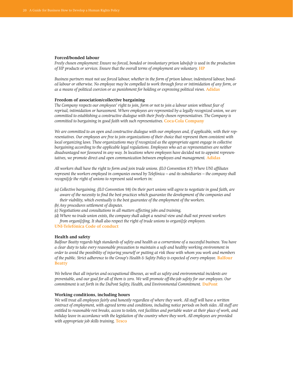#### **Forced/bonded labour**

*Freely chosen employment: Ensure no forced, bonded or involuntary prison labo[u]r is used in the production of HP products or services. Ensure that the overall terms of employment are voluntary. HP* 

*Business partners must not use forced labour, whether in the form of prison labour, indentured labour, bonded labour or otherwise. No employee may be compelled to work through force or intimidation of any form, or as a means of political coercion or as punishment for holding or expressing political views.* **Adidas**

#### **Freedom of association/collective bargaining**

*The Company respects our employees' right to join, form or not to join a labour union without fear of reprisal, intimidation or harassment. Where employees are represented by a legally recognized union, we are committed to establishing a constructive dialogue with their freely chosen representatives. The Company is committed to bargaining in good faith with such representatives.* **Coca-Cola Company**

*We are committed to an open and constructive dialogue with our employees and, if applicable, with their representatives. Our employees are free to join organizations of their choice that represent them consistent with local organizing laws. These organizations may if recognized as the appropriate agent engage in collective bargaining according to the applicable legal regulations. Employees who act as representatives are neither disadvantaged nor favoured in any way. In locations where employees have decided not to appoint represen*tatives, we promote direct and open communication between employees and management. Adidas

All workers shall have the right to form and join trade unions. (ILO Convention 87) Where UNI affiliates *represent the workers employed in companies owned by Telefónica – and its subsidiaries – the company shall recogni[z]e the right of unions to represent said workers in:*

- (a) Collective bargaining. (ILO Convention 98) On their part unions will agree to negotiate in good faith, are *aware of the necessity to find the best practices which guarantee the development of the companies and their viability, which eventually is the best guarantee of the employment of the workers.*
- *(b) Any procedures settlement of disputes.*
- *(c) Negotiations and consultations in all matters affecting jobs and training.*
- *(d) Where no trade union exists, the company shall adopt a neutral view and shall not prevent workers from organi[z]ing. It shall also respect the right of trade unions to organi[z]e employees.*
- **UNI-Telefónica Code of conduct**

#### **Health and safety**

*Balfour Beatty regards high standards of safety and health as a cornerstone of a successful business. You have a clear duty to take every reasonable precaution to maintain a safe and healthy working environment in order to avoid the possibility of injuring yourself or putting at risk those with whom you work and members of the public. Strict adherence to the Group's Health & Safety Policy is expected of every employee.* **Balfour Beatty**

*We believe that all injuries and occupational illnesses, as well as safety and environmental incidents are*  preventable, and our goal for all of them is zero. We will promote off-the-job safety for our employees. Our *commitment is set forth in the DuPont Safety, Health, and Environmental Commitment.* **DuPont**

#### **Working conditions, including hours**

*We will treat all employees fairly and honestly regardless of where they work. All staff will have a written contract of employment, with agreed terms and conditions, including notice periods on both sides. All staff are entitled to reasonable rest breaks, access to toilets, rest facilities and portable water at their place of work, and holiday leave in accordance with the legislation of the country where they work. All employees are provided with appropriate job skills training.* **Tesco**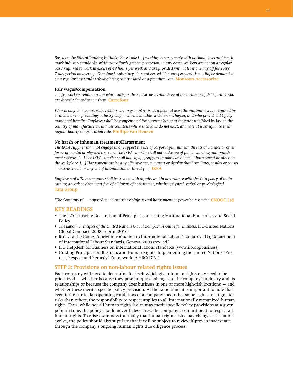Based on the Ethical Trading Initiative Base Code [...] working hours comply with national laws and bench*mark industry standards, whichever affords greater protection; in any event, workers are not on a regular*  basis required to work in excess of 48 hours per week and are provided with at least one day off for every 7-day period on average. Overtime is voluntary, does not exceed 12 hours per week, is not [to] be demanded *on a regular basis and is always being compensated at a premium rate.* **Monsoon Accessorize**

#### **Fair wages/compensation**

To give workers remuneration which satisfies their basic needs and those of the members of their family who *are directly dependent on them.* **Carrefour**

We will only do business with vendors who pay employees, as a floor, at least the minimum wage required by *local law or the prevailing industry wage - when available, whichever is higher, and who provide all legally*  mandated benefits. Employees shall be compensated for overtime hours at the rate established by law in the *country of manufacture or, in those countries where such laws do not exist, at a rate at least equal to their regular hourly compensation rate.* **Phillips-Van Heusen**

#### **No harsh or inhuman treatment/Harassment**

*The IKEA supplier shall not engage in or support the use of corporal punishment, threats of violence or other forms of mental or physical coercion. The IKEA supplier shall not make use of public warning and punish*ment systems. [...] The IKEA supplier shall not engage, support or allow any form of harassment or abuse in the workplace. [...] Harassment can be any offensive act, comment or display that humiliates, insults or causes *embarrassment, or any act of intimidation or threat […].* **IKEA**

*Employees of a Tata company shall be treated with dignity and in accordance with the Tata policy of maintaining a work environment free of all forms of harassment, whether physical, verbal or psychological.*  **Tata Group** 

*[The Company is] … opposed to violent behavio[u]r, sexual harassment or power harassment.* **CNOOC Ltd**

#### **KEY READINGS**

- • The ILO Tripartite Declaration of Principles concerning Multinational Enterprises and Social Policy
- *• The Labour Principles of the United Nations Global Compact: A Guide for Business,* ILO-United Nations Global Compact, 2008 (reprint 2010)
- • Rules of the Game. A brief introduction to International Labour Standards, ILO, Department of International Labour Standards, Geneva, 2009 (rev. ed.)
- ILO Helpdesk for Business on international labour standards (www.ilo.org/business)
- • Guiding Principles on Business and Human Rights: Implementing the United Nations "Protect, Respect and Remedy" Framework (A/HRC/17/31)

#### **Step 3: Provisions on non-labour related rights issues**

Each company will need to determine for itself which given human rights may need to be prioritized – whether because they pose unique challenges to the company's industry and its relationships or because the company does business in one or more high-risk locations – and whether these merit a specific policy provision. At the same time, it is important to note that even if the particular operating conditions of a company mean that some rights are at greater risks than others, the responsibility to respect applies to all internationally recognized human rights. Thus, while not all human rights issues may merit specific policy provisions at a given point in time, the policy should nevertheless stress the company's commitment to respect all human rights. To raise awareness internally that human rights risks may change as situations evolve, the policy should also stipulate that it will be subject to review if proven inadequate through the company's ongoing human rights due diligence process.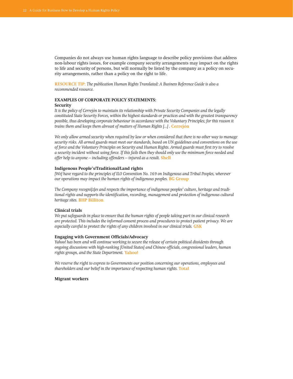Companies do not always use human rights language to describe policy provisions that address non-labour rights issues, for example company security arrangements may impact on the rights to life and security of persons, but will normally be listed by the company as a policy on security arrangements, rather than a policy on the right to life.

**Resource tip:** *The publication Human Rights Translated: A Business Reference Guide is also a recommended resource.* 

#### **Examples of corporate policy statements: Security**

*It is the policy of Cerrejón to maintain its relationship with Private Security Companies and the legally constituted State Security Forces, within the highest standards or practices and with the greatest transparency possible, thus developing corporate behaviour in accordance with the Voluntary Principles; for this reason it trains them and keeps them abreast of matters of Human Rights [...] .* **Cerrejón**

*We only allow armed security when required by law or when considered that there is no other way to manage*  security risks. All armed guards must meet our standards, based on UN guidelines and conventions on the use of force and the Voluntary Principles on Security and Human Rights. Armed guards must first try to resolve *a security incident without using force. If this fails then they should only use the minimum force needed and offer help to anyone – including offenders – injured as a result.* Shell

#### **Indigenous People's/Traditional/Land rights**

*[We] have regard to the principles of ILO Convention No. 169 on Indigenous and Tribal Peoples, wherever our operations may impact the human rights of indigenous peoples.* **BG Group**

*The Company recogni[z]es and respects the importance of indigenous peoples' culture, heritage and traditional rights and supports the identification, recording, management and protection of indigenous cultural heritage sites.* **BHP Billiton**

#### **Clinical trials**

*We put safeguards in place to ensure that the human rights of people taking part in our clinical research are protected. This includes the informed consent process and procedures to protect patient privacy. We are especially careful to protect the rights of any children involved in our clinical trials.* **GSK**

#### **Engaging with Government Officials/Advocacy**

*Yahoo! has been and will continue working to secure the release of certain political dissidents through ongoing discussions with high-ranking [United States] and Chinese officials, congressional leaders, human rights groups, and the State Department.* **Yahoo!**

*We reserve the right to express to Governments our position concerning our operations, employees and shareholders and our belief in the importance of respecting human rights.* **Total**

#### **Migrant workers**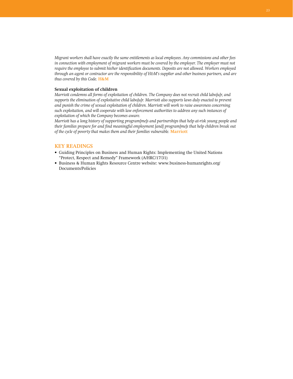*Migrant workers shall have exactly the same entitlements as local employees. Any commissions and other fees*  in connection with employment of migrant workers must be covered by the employer. The employer must not *require the employee to submit his/her identification documents. Deposits are not allowed. Workers employed through an agent or contractor are the responsibility of H&M's supplier and other business partners, and are thus covered by this Code.* **H&M**

#### **Sexual exploitation of children**

*Marriott condemns all forms of exploitation of children. The Company does not recruit child labo[u]r, and supports the elimination of exploitative child labo[u]r. Marriott also supports laws duly enacted to prevent and punish the crime of sexual exploitation of children. Marriott will work to raise awareness concerning such exploitation, and will cooperate with law enforcement authorities to address any such instances of exploitation of which the Company becomes aware.* 

*Marriott has a long history of supporting program[me]s and partnerships that help at-risk young people and their families prepare for and find meaningful employment [and] program[me]s that help children break out of the cycle of poverty that makes them and their families vulnerable.* **Marriott**

## **KEY READINGS**

- • Guiding Principles on Business and Human Rights: Implementing the United Nations "Protect, Respect and Remedy" Framework (A/HRC/17/31)
- Business & Human Rights Resource Centre website: www.business-humanrights.org/ Documents/Policies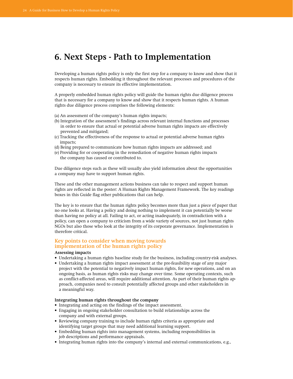# **6. Next Steps - Path to Implementation**

Developing a human rights policy is only the first step for a company to know and show that it respects human rights. Embedding it throughout the relevant processes and procedures of the company is necessary to ensure its effective implementation.

A properly embedded human rights policy will guide the human rights due diligence process that is necessary for a company to know and show that it respects human rights. A human rights due diligence process comprises the following elements:

- (a) An assessment of the company's human rights impacts;
- (b) Integration of the assessment's findings across relevant internal functions and processes in order to ensure that actual or potential adverse human rights impacts are effectively prevented and mitigated;
- (c) Tracking the effectiveness of the response to actual or potential adverse human rights impacts;
- (d) Being prepared to communicate how human rights impacts are addressed; and
- (e) Providing for or cooperating in the remediation of negative human rights impacts the company has caused or contributed to.

Due diligence steps such as these will usually also yield information about the opportunities a company may have to support human rights.

These and the other management actions business can take to respect and support human rights are reflected in the poster: A Human Rights Management Framework. The key readings boxes in this Guide flag other publications that can help.

The key is to ensure that the human rights policy becomes more than just a piece of paper that no one looks at. Having a policy and doing nothing to implement it can potentially be worse than having no policy at all. Failing to act, or acting inadequately, in contradiction with a policy, can open a company to criticism from a wide variety of sources, not just human rights NGOs but also those who look at the integrity of its corporate governance. Implementation is therefore critical.

# **Key points to consider when moving towards implementation of the human rights policy**

#### **Assessing impacts**

- • Undertaking a human rights baseline study for the business, including country-risk analyses.
- Undertaking a human rights impact assessment at the pre-feasibility stage of any major project with the potential to negatively impact human rights, for new operations, and on an ongoing basis, as human rights risks may change over time. Some operating contexts, such as conflict-affected areas, will require additional attention. As part of their human rights approach, companies need to consult potentially affected groups and other stakeholders in a meaningful way.

#### **Integrating human rights throughout the company**

- • Integrating and acting on the findings of the impact assessment.
- • Engaging in ongoing stakeholder consultation to build relationships across the company and with external groups.
- • Reviewing company training to include human rights criteria as appropriate and identifying target groups that may need additional learning support.
- • Embedding human rights into management systems, including responsibilities in job descriptions and performance appraisals.
- • Integrating human rights into the company's internal and external communications, e.g.,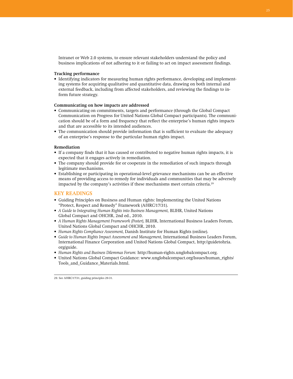Intranet or Web 2.0 systems, to ensure relevant stakeholders understand the policy and business implications of not adhering to it or failing to act on impact assessment findings.

#### **Tracking performance**

• Identifying indicators for measuring human rights performance, developing and implementing systems for acquiring qualitative and quantitative data, drawing on both internal and external feedback, including from affected stakeholders, and reviewing the findings to inform future strategy.

#### **Communicating on how impacts are addressed**

- • Communicating on commitments, targets and performance (through the Global Compact Communication on Progress for United Nations Global Compact participants). The communication should be of a form and frequency that reflect the enterprise's human rights impacts and that are accessible to its intended audiences.
- The communication should provide information that is sufficient to evaluate the adequacy of an enterprise's response to the particular human rights impact.

#### **Remediation**

- • If a company finds that it has caused or contributed to negative human rights impacts, it is expected that it engages actively in remediation.
- The company should provide for or cooperate in the remediation of such impacts through legitimate mechanisms.
- • Establishing or participating in operational-level grievance mechanisms can be an effective means of providing access to remedy for individuals and communities that may be adversely impacted by the company's activities if these mechanisms meet certain criteria.<sup>29</sup>

## **KEY READINGS**

- • Guiding Principles on Business and Human rights: Implementing the United Nations "Protect, Respect and Remedy" Framework (A/HRC/17/31).
- • *A Guide to Integrating Human Rights into Business Management,* BLIHR, United Nations Global Compact and OHCHR, 2nd ed., 2010.
- • *A Human Rights Management Framework (Poster),* BLIHR, International Business Leaders Forum, United Nations Global Compact and OHCHR, 2010.
- • *Human Rights Compliance Assessment,* Danish Institute for Human Rights (online).
- • *Guide to Human Rights Impact Assessment and Management,* International Business Leaders Forum, International Finance Corporation and United Nations Global Compact, http://guidetohria. org/guide.
- • *Human Rights and Business Dilemmas Forum:* http://human-rights.unglobalcompact.org.
- • United Nations Global Compact Guidance: www.unglobalcompact.org/Issues/human\_rights/ Tools\_and\_Guidance\_Materials.html.

29. See A/HRC/17/31, guiding principles 29-31.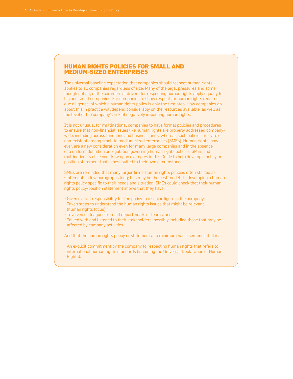# **Human rights policies for small and medium-sized enterprises**

The universal baseline expectation that companies should respect human rights applies to all companies regardless of size. Many of the legal pressures and some, though not all, of the commercial drivers for respecting human rights apply equally to big and small companies. For companies to show respect for human rights requires due diligence, of which a human rights policy is only the first step. How companies go about this in practice will depend considerably on the resources available, as well as the level of the company's risk of negatively impacting human rights.

It is not unusual for multinational companies to have formal policies and procedures to ensure that non-financial issues like human rights are properly addressed companywide, including across functions and business units, whereas such policies are rare or non-existent among small to medium-sized enterprises (SMEs). Human rights, however, are a new consideration even for many large companies and in the absence of a uniform definition or regulation governing human rights policies, SMEs and multinationals alike can draw upon examples in this Guide to help develop a policy or position statement that is best suited to their own circumstances.

SMEs are reminded that many larger firms' human rights policies often started as statements a few paragraphs long; this may be the best model. In developing a human rights policy specific to their needs and situation, SMEs could check that their human rights policy/position statement shows that they have:

- Given overall responsibility for the policy to a senior figure in the company;
- Taken steps to understand the human rights issues that might be relevant (human rights focus);
- Involved colleagues from all departments or teams; and
- Talked with and listened to their stakeholders, possibly including those that may be affected by company activities.

And that the human rights policy or statement at a minimum has a sentence that is:

• An explicit commitment by the company to respecting human rights that refers to international human rights standards (including the Universal Declaration of Human Rights).